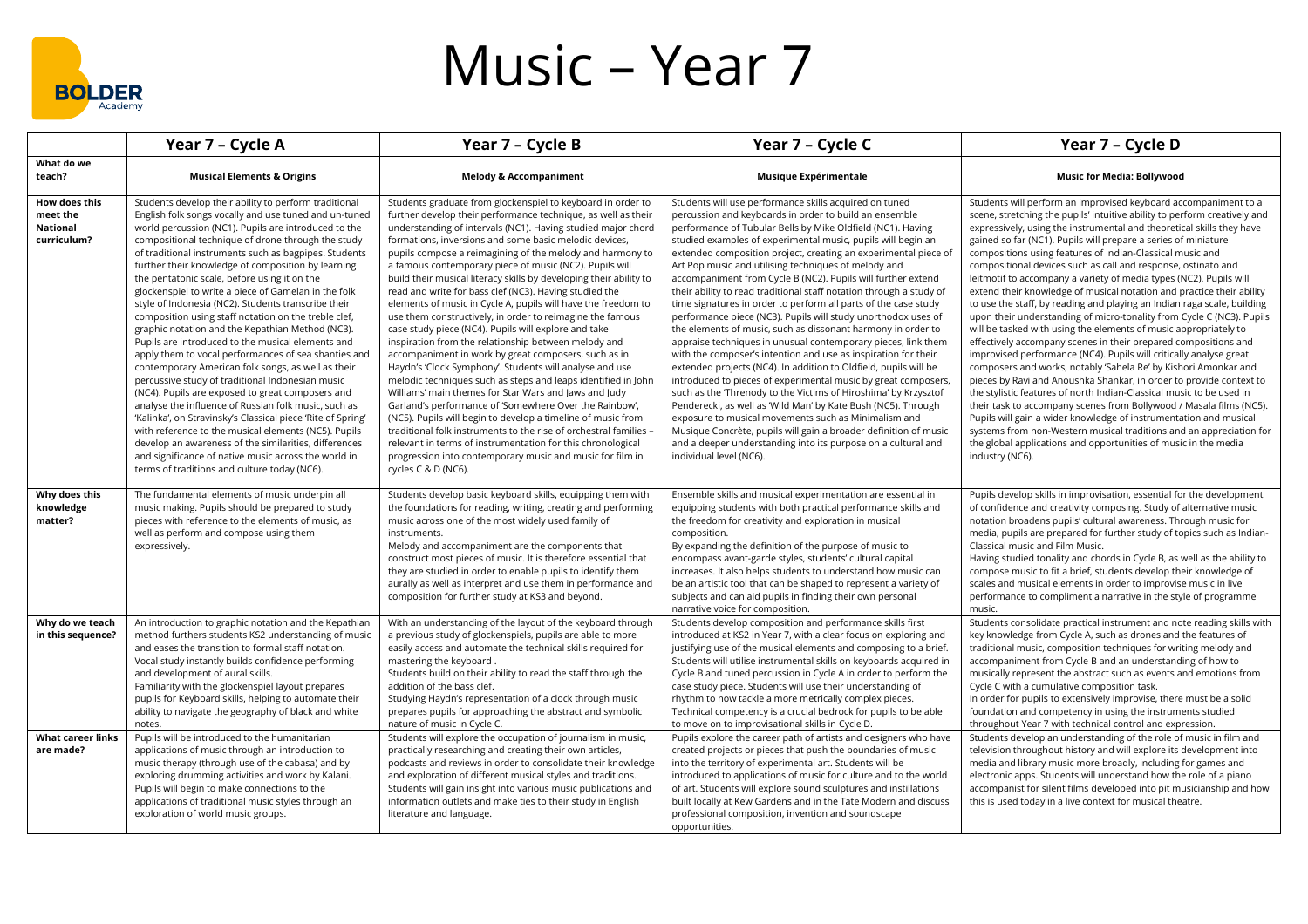

## Music – Year 7

|                                                      | Year 7 - Cycle A                                                                                                                                                                                                                                                                                                                                                                                                                                                                                                                                                                                                                                                                                                                                                                                                                                                                                                                                                                                                                                                                                                                                                                                                                                  | Year 7 - Cycle B                                                                                                                                                                                                                                                                                                                                                                                                                                                                                                                                                                                                                                                                                                                                                                                                                                                                                                                                                                                                                                                                                                                                                                                                                                                                                                                                          | Year 7 - Cycle C                                                                                                                                                                                                                                                                                                                                                                                                                                                                                                                                                                                                                                                                                                                                                                                                                                                                                                                                                                                                                                                                                                                                                                                                                                                                                                                                          | Year 7 - Cycle D                                                                                                                                                                                                                                                                                                                                                                                                                                                                                                                                                                                                                                                                                                                                                                                                                                                                                                                                                                                                                                                                                                                                                                                                                                                                                                                                                                                                                                                 |
|------------------------------------------------------|---------------------------------------------------------------------------------------------------------------------------------------------------------------------------------------------------------------------------------------------------------------------------------------------------------------------------------------------------------------------------------------------------------------------------------------------------------------------------------------------------------------------------------------------------------------------------------------------------------------------------------------------------------------------------------------------------------------------------------------------------------------------------------------------------------------------------------------------------------------------------------------------------------------------------------------------------------------------------------------------------------------------------------------------------------------------------------------------------------------------------------------------------------------------------------------------------------------------------------------------------|-----------------------------------------------------------------------------------------------------------------------------------------------------------------------------------------------------------------------------------------------------------------------------------------------------------------------------------------------------------------------------------------------------------------------------------------------------------------------------------------------------------------------------------------------------------------------------------------------------------------------------------------------------------------------------------------------------------------------------------------------------------------------------------------------------------------------------------------------------------------------------------------------------------------------------------------------------------------------------------------------------------------------------------------------------------------------------------------------------------------------------------------------------------------------------------------------------------------------------------------------------------------------------------------------------------------------------------------------------------|-----------------------------------------------------------------------------------------------------------------------------------------------------------------------------------------------------------------------------------------------------------------------------------------------------------------------------------------------------------------------------------------------------------------------------------------------------------------------------------------------------------------------------------------------------------------------------------------------------------------------------------------------------------------------------------------------------------------------------------------------------------------------------------------------------------------------------------------------------------------------------------------------------------------------------------------------------------------------------------------------------------------------------------------------------------------------------------------------------------------------------------------------------------------------------------------------------------------------------------------------------------------------------------------------------------------------------------------------------------|------------------------------------------------------------------------------------------------------------------------------------------------------------------------------------------------------------------------------------------------------------------------------------------------------------------------------------------------------------------------------------------------------------------------------------------------------------------------------------------------------------------------------------------------------------------------------------------------------------------------------------------------------------------------------------------------------------------------------------------------------------------------------------------------------------------------------------------------------------------------------------------------------------------------------------------------------------------------------------------------------------------------------------------------------------------------------------------------------------------------------------------------------------------------------------------------------------------------------------------------------------------------------------------------------------------------------------------------------------------------------------------------------------------------------------------------------------------|
| What do we<br>teach?                                 | <b>Musical Elements &amp; Origins</b>                                                                                                                                                                                                                                                                                                                                                                                                                                                                                                                                                                                                                                                                                                                                                                                                                                                                                                                                                                                                                                                                                                                                                                                                             | <b>Melody &amp; Accompaniment</b>                                                                                                                                                                                                                                                                                                                                                                                                                                                                                                                                                                                                                                                                                                                                                                                                                                                                                                                                                                                                                                                                                                                                                                                                                                                                                                                         | Musique Expérimentale                                                                                                                                                                                                                                                                                                                                                                                                                                                                                                                                                                                                                                                                                                                                                                                                                                                                                                                                                                                                                                                                                                                                                                                                                                                                                                                                     | <b>Music for Media: Bollywood</b>                                                                                                                                                                                                                                                                                                                                                                                                                                                                                                                                                                                                                                                                                                                                                                                                                                                                                                                                                                                                                                                                                                                                                                                                                                                                                                                                                                                                                                |
| How does this<br>meet the<br>National<br>curriculum? | Students develop their ability to perform traditional<br>English folk songs vocally and use tuned and un-tuned<br>world percussion (NC1). Pupils are introduced to the<br>compositional technique of drone through the study<br>of traditional instruments such as bagpipes. Students<br>further their knowledge of composition by learning<br>the pentatonic scale, before using it on the<br>glockenspiel to write a piece of Gamelan in the folk<br>style of Indonesia (NC2). Students transcribe their<br>composition using staff notation on the treble clef,<br>graphic notation and the Kepathian Method (NC3).<br>Pupils are introduced to the musical elements and<br>apply them to vocal performances of sea shanties and<br>contemporary American folk songs, as well as their<br>percussive study of traditional Indonesian music<br>(NC4). Pupils are exposed to great composers and<br>analyse the influence of Russian folk music, such as<br>'Kalinka', on Stravinsky's Classical piece 'Rite of Spring'<br>with reference to the musical elements (NC5). Pupils<br>develop an awareness of the similarities, differences<br>and significance of native music across the world in<br>terms of traditions and culture today (NC6). | Students graduate from glockenspiel to keyboard in order to<br>further develop their performance technique, as well as their<br>understanding of intervals (NC1). Having studied major chord<br>formations, inversions and some basic melodic devices,<br>pupils compose a reimagining of the melody and harmony to<br>a famous contemporary piece of music (NC2). Pupils will<br>build their musical literacy skills by developing their ability to<br>read and write for bass clef (NC3). Having studied the<br>elements of music in Cycle A, pupils will have the freedom to<br>use them constructively, in order to reimagine the famous<br>case study piece (NC4). Pupils will explore and take<br>inspiration from the relationship between melody and<br>accompaniment in work by great composers, such as in<br>Haydn's 'Clock Symphony'. Students will analyse and use<br>melodic techniques such as steps and leaps identified in John<br>Williams' main themes for Star Wars and Jaws and Judy<br>Garland's performance of 'Somewhere Over the Rainbow',<br>(NC5). Pupils will begin to develop a timeline of music from<br>traditional folk instruments to the rise of orchestral families<br>relevant in terms of instrumentation for this chronological<br>progression into contemporary music and music for film in<br>cycles C & D (NC6). | Students will use performance skills acquired on tuned<br>percussion and keyboards in order to build an ensemble<br>performance of Tubular Bells by Mike Oldfield (NC1). Having<br>studied examples of experimental music, pupils will begin an<br>extended composition project, creating an experimental piece of<br>Art Pop music and utilising techniques of melody and<br>accompaniment from Cycle B (NC2). Pupils will further extend<br>their ability to read traditional staff notation through a study of<br>time signatures in order to perform all parts of the case study<br>performance piece (NC3). Pupils will study unorthodox uses of<br>the elements of music, such as dissonant harmony in order to<br>appraise techniques in unusual contemporary pieces, link them<br>with the composer's intention and use as inspiration for their<br>extended projects (NC4). In addition to Oldfield, pupils will be<br>introduced to pieces of experimental music by great composers,<br>such as the Threnody to the Victims of Hiroshima' by Krzysztof<br>Penderecki, as well as 'Wild Man' by Kate Bush (NC5). Through<br>exposure to musical movements such as Minimalism and<br>Musique Concrète, pupils will gain a broader definition of music<br>and a deeper understanding into its purpose on a cultural and<br>individual level (NC6). | Students will perform an improvised keyboard accompaniment to a<br>scene, stretching the pupils' intuitive ability to perform creatively and<br>expressively, using the instrumental and theoretical skills they have<br>gained so far (NC1). Pupils will prepare a series of miniature<br>compositions using features of Indian-Classical music and<br>compositional devices such as call and response, ostinato and<br>leitmotif to accompany a variety of media types (NC2). Pupils will<br>extend their knowledge of musical notation and practice their ability<br>to use the staff, by reading and playing an Indian raga scale, building<br>upon their understanding of micro-tonality from Cycle C (NC3). Pupils<br>will be tasked with using the elements of music appropriately to<br>effectively accompany scenes in their prepared compositions and<br>improvised performance (NC4). Pupils will critically analyse great<br>composers and works, notably 'Sahela Re' by Kishori Amonkar and<br>pieces by Ravi and Anoushka Shankar, in order to provide context to<br>the stylistic features of north Indian-Classical music to be used in<br>their task to accompany scenes from Bollywood / Masala films (NC5).<br>Pupils will gain a wider knowledge of instrumentation and musical<br>systems from non-Western musical traditions and an appreciation for<br>the global applications and opportunities of music in the media<br>industry (NC6). |
| Why does this<br>knowledge<br>matter?                | The fundamental elements of music underpin all<br>music making. Pupils should be prepared to study<br>pieces with reference to the elements of music, as<br>well as perform and compose using them<br>expressively.                                                                                                                                                                                                                                                                                                                                                                                                                                                                                                                                                                                                                                                                                                                                                                                                                                                                                                                                                                                                                               | Students develop basic keyboard skills, equipping them with<br>the foundations for reading, writing, creating and performing<br>music across one of the most widely used family of<br>instruments.<br>Melody and accompaniment are the components that<br>construct most pieces of music. It is therefore essential that<br>they are studied in order to enable pupils to identify them<br>aurally as well as interpret and use them in performance and<br>composition for further study at KS3 and beyond.                                                                                                                                                                                                                                                                                                                                                                                                                                                                                                                                                                                                                                                                                                                                                                                                                                               | Ensemble skills and musical experimentation are essential in<br>equipping students with both practical performance skills and<br>the freedom for creativity and exploration in musical<br>composition.<br>By expanding the definition of the purpose of music to<br>encompass avant-garde styles, students' cultural capital<br>increases. It also helps students to understand how music can<br>be an artistic tool that can be shaped to represent a variety of<br>subjects and can aid pupils in finding their own personal<br>narrative voice for composition.                                                                                                                                                                                                                                                                                                                                                                                                                                                                                                                                                                                                                                                                                                                                                                                        | Pupils develop skills in improvisation, essential for the development<br>of confidence and creativity composing. Study of alternative music<br>notation broadens pupils' cultural awareness. Through music for<br>media, pupils are prepared for further study of topics such as Indian-<br>Classical music and Film Music.<br>Having studied tonality and chords in Cycle B, as well as the ability to<br>compose music to fit a brief, students develop their knowledge of<br>scales and musical elements in order to improvise music in live<br>performance to compliment a narrative in the style of programme<br>music.                                                                                                                                                                                                                                                                                                                                                                                                                                                                                                                                                                                                                                                                                                                                                                                                                                     |
| Why do we teach<br>in this sequence?                 | An introduction to graphic notation and the Kepathian<br>method furthers students KS2 understanding of music<br>and eases the transition to formal staff notation.<br>Vocal study instantly builds confidence performing<br>and development of aural skills.<br>Familiarity with the glockenspiel layout prepares<br>pupils for Keyboard skills, helping to automate their<br>ability to navigate the geography of black and white<br>notes.                                                                                                                                                                                                                                                                                                                                                                                                                                                                                                                                                                                                                                                                                                                                                                                                      | With an understanding of the layout of the keyboard through<br>a previous study of glockenspiels, pupils are able to more<br>easily access and automate the technical skills required for<br>mastering the keyboard.<br>Students build on their ability to read the staff through the<br>addition of the bass clef.<br>Studying Haydn's representation of a clock through music<br>prepares pupils for approaching the abstract and symbolic<br>nature of music in Cycle C.                                                                                                                                                                                                                                                                                                                                                                                                                                                                                                                                                                                                                                                                                                                                                                                                                                                                               | Students develop composition and performance skills first<br>introduced at KS2 in Year 7, with a clear focus on exploring and<br>justifying use of the musical elements and composing to a brief.<br>Students will utilise instrumental skills on keyboards acquired in<br>Cycle B and tuned percussion in Cycle A in order to perform the<br>case study piece. Students will use their understanding of<br>rhythm to now tackle a more metrically complex pieces.<br>Technical competency is a crucial bedrock for pupils to be able<br>to move on to improvisational skills in Cycle D.                                                                                                                                                                                                                                                                                                                                                                                                                                                                                                                                                                                                                                                                                                                                                                 | Students consolidate practical instrument and note reading skills with<br>key knowledge from Cycle A, such as drones and the features of<br>traditional music, composition techniques for writing melody and<br>accompaniment from Cycle B and an understanding of how to<br>musically represent the abstract such as events and emotions from<br>Cycle C with a cumulative composition task.<br>In order for pupils to extensively improvise, there must be a solid<br>foundation and competency in using the instruments studied<br>throughout Year 7 with technical control and expression.                                                                                                                                                                                                                                                                                                                                                                                                                                                                                                                                                                                                                                                                                                                                                                                                                                                                   |
| <b>What career links</b><br>are made?                | Pupils will be introduced to the humanitarian<br>applications of music through an introduction to<br>music therapy (through use of the cabasa) and by<br>exploring drumming activities and work by Kalani.<br>Pupils will begin to make connections to the<br>applications of traditional music styles through an<br>exploration of world music groups.                                                                                                                                                                                                                                                                                                                                                                                                                                                                                                                                                                                                                                                                                                                                                                                                                                                                                           | Students will explore the occupation of journalism in music,<br>practically researching and creating their own articles,<br>podcasts and reviews in order to consolidate their knowledge<br>and exploration of different musical styles and traditions.<br>Students will gain insight into various music publications and<br>information outlets and make ties to their study in English<br>literature and language.                                                                                                                                                                                                                                                                                                                                                                                                                                                                                                                                                                                                                                                                                                                                                                                                                                                                                                                                      | Pupils explore the career path of artists and designers who have<br>created projects or pieces that push the boundaries of music<br>into the territory of experimental art. Students will be<br>introduced to applications of music for culture and to the world<br>of art. Students will explore sound sculptures and instillations<br>built locally at Kew Gardens and in the Tate Modern and discuss<br>professional composition, invention and soundscape<br>opportunities.                                                                                                                                                                                                                                                                                                                                                                                                                                                                                                                                                                                                                                                                                                                                                                                                                                                                           | Students develop an understanding of the role of music in film and<br>television throughout history and will explore its development into<br>media and library music more broadly, including for games and<br>electronic apps. Students will understand how the role of a piano<br>accompanist for silent films developed into pit musicianship and how<br>this is used today in a live context for musical theatre.                                                                                                                                                                                                                                                                                                                                                                                                                                                                                                                                                                                                                                                                                                                                                                                                                                                                                                                                                                                                                                             |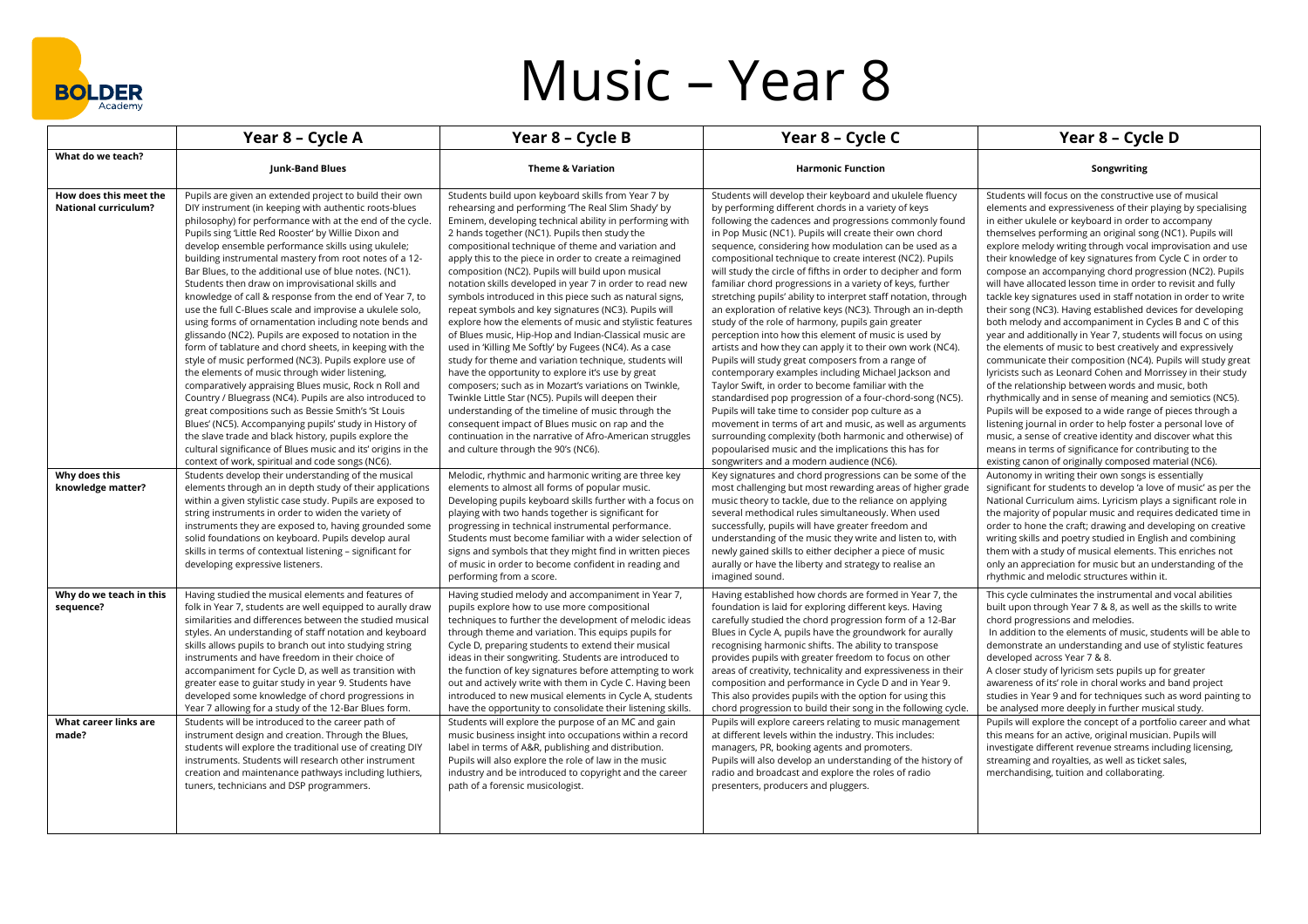

## Music – Year 8

|                                                               | Year 8 - Cycle A                                                                                                                                                                                                                                                                                                                                                                                                                                                                                                                                                                                                                                                                                                                                                                                                                                                                                                                                                                                                                                                                                                                                                                                                                                                                                       | Year 8 - Cycle B                                                                                                                                                                                                                                                                                                                                                                                                                                                                                                                                                                                                                                                                                                                                                                                                                                                                                                                                                                                                                                                                                                                                                                                    | Year 8 - Cycle C                                                                                                                                                                                                                                                                                                                                                                                                                                                                                                                                                                                                                                                                                                                                                                                                                                                                                                                                                                                                                                                                                                                                                                                                                                                                                                  | Year 8 - Cycle D                                                                                                                                                                                                                                                                                                                                                                                                                                                                                                                                                                                                                                                                                                                                                                                                                                                                                                                                                                                                                                                                                                                                                                                                                                                                                                                                                                              |
|---------------------------------------------------------------|--------------------------------------------------------------------------------------------------------------------------------------------------------------------------------------------------------------------------------------------------------------------------------------------------------------------------------------------------------------------------------------------------------------------------------------------------------------------------------------------------------------------------------------------------------------------------------------------------------------------------------------------------------------------------------------------------------------------------------------------------------------------------------------------------------------------------------------------------------------------------------------------------------------------------------------------------------------------------------------------------------------------------------------------------------------------------------------------------------------------------------------------------------------------------------------------------------------------------------------------------------------------------------------------------------|-----------------------------------------------------------------------------------------------------------------------------------------------------------------------------------------------------------------------------------------------------------------------------------------------------------------------------------------------------------------------------------------------------------------------------------------------------------------------------------------------------------------------------------------------------------------------------------------------------------------------------------------------------------------------------------------------------------------------------------------------------------------------------------------------------------------------------------------------------------------------------------------------------------------------------------------------------------------------------------------------------------------------------------------------------------------------------------------------------------------------------------------------------------------------------------------------------|-------------------------------------------------------------------------------------------------------------------------------------------------------------------------------------------------------------------------------------------------------------------------------------------------------------------------------------------------------------------------------------------------------------------------------------------------------------------------------------------------------------------------------------------------------------------------------------------------------------------------------------------------------------------------------------------------------------------------------------------------------------------------------------------------------------------------------------------------------------------------------------------------------------------------------------------------------------------------------------------------------------------------------------------------------------------------------------------------------------------------------------------------------------------------------------------------------------------------------------------------------------------------------------------------------------------|-----------------------------------------------------------------------------------------------------------------------------------------------------------------------------------------------------------------------------------------------------------------------------------------------------------------------------------------------------------------------------------------------------------------------------------------------------------------------------------------------------------------------------------------------------------------------------------------------------------------------------------------------------------------------------------------------------------------------------------------------------------------------------------------------------------------------------------------------------------------------------------------------------------------------------------------------------------------------------------------------------------------------------------------------------------------------------------------------------------------------------------------------------------------------------------------------------------------------------------------------------------------------------------------------------------------------------------------------------------------------------------------------|
| What do we teach?                                             | Junk-Band Blues                                                                                                                                                                                                                                                                                                                                                                                                                                                                                                                                                                                                                                                                                                                                                                                                                                                                                                                                                                                                                                                                                                                                                                                                                                                                                        | <b>Theme &amp; Variation</b>                                                                                                                                                                                                                                                                                                                                                                                                                                                                                                                                                                                                                                                                                                                                                                                                                                                                                                                                                                                                                                                                                                                                                                        | <b>Harmonic Function</b>                                                                                                                                                                                                                                                                                                                                                                                                                                                                                                                                                                                                                                                                                                                                                                                                                                                                                                                                                                                                                                                                                                                                                                                                                                                                                          | Songwriting                                                                                                                                                                                                                                                                                                                                                                                                                                                                                                                                                                                                                                                                                                                                                                                                                                                                                                                                                                                                                                                                                                                                                                                                                                                                                                                                                                                   |
| How does this meet the<br><b>National curriculum?</b>         | Pupils are given an extended project to build their own<br>DIY instrument (in keeping with authentic roots-blues<br>philosophy) for performance with at the end of the cycle.<br>Pupils sing 'Little Red Rooster' by Willie Dixon and<br>develop ensemble performance skills using ukulele;<br>building instrumental mastery from root notes of a 12-<br>Bar Blues, to the additional use of blue notes. (NC1).<br>Students then draw on improvisational skills and<br>knowledge of call & response from the end of Year 7, to<br>use the full C-Blues scale and improvise a ukulele solo,<br>using forms of ornamentation including note bends and<br>glissando (NC2). Pupils are exposed to notation in the<br>form of tablature and chord sheets, in keeping with the<br>style of music performed (NC3). Pupils explore use of<br>the elements of music through wider listening,<br>comparatively appraising Blues music, Rock n Roll and<br>Country / Bluegrass (NC4). Pupils are also introduced to<br>great compositions such as Bessie Smith's 'St Louis<br>Blues' (NC5). Accompanying pupils' study in History of<br>the slave trade and black history, pupils explore the<br>cultural significance of Blues music and its' origins in the<br>context of work, spiritual and code songs (NC6). | Students build upon keyboard skills from Year 7 by<br>rehearsing and performing The Real Slim Shady' by<br>Eminem, developing technical ability in performing with<br>2 hands together (NC1). Pupils then study the<br>compositional technique of theme and variation and<br>apply this to the piece in order to create a reimagined<br>composition (NC2). Pupils will build upon musical<br>notation skills developed in year 7 in order to read new<br>symbols introduced in this piece such as natural signs,<br>repeat symbols and key signatures (NC3). Pupils will<br>explore how the elements of music and stylistic features<br>of Blues music, Hip-Hop and Indian-Classical music are<br>used in 'Killing Me Softly' by Fugees (NC4). As a case<br>study for theme and variation technique, students will<br>have the opportunity to explore it's use by great<br>composers; such as in Mozart's variations on Twinkle,<br>Twinkle Little Star (NC5). Pupils will deepen their<br>understanding of the timeline of music through the<br>consequent impact of Blues music on rap and the<br>continuation in the narrative of Afro-American struggles<br>and culture through the 90's (NC6). | Students will develop their keyboard and ukulele fluency<br>by performing different chords in a variety of keys<br>following the cadences and progressions commonly found<br>in Pop Music (NC1). Pupils will create their own chord<br>sequence, considering how modulation can be used as a<br>compositional technique to create interest (NC2). Pupils<br>will study the circle of fifths in order to decipher and form<br>familiar chord progressions in a variety of keys, further<br>stretching pupils' ability to interpret staff notation, through<br>an exploration of relative keys (NC3). Through an in-depth<br>study of the role of harmony, pupils gain greater<br>perception into how this element of music is used by<br>artists and how they can apply it to their own work (NC4).<br>Pupils will study great composers from a range of<br>contemporary examples including Michael Jackson and<br>Taylor Swift, in order to become familiar with the<br>standardised pop progression of a four-chord-song (NC5).<br>Pupils will take time to consider pop culture as a<br>movement in terms of art and music, as well as arguments<br>surrounding complexity (both harmonic and otherwise) of<br>popoularised music and the implications this has for<br>songwriters and a modern audience (NC6). | Students will focus on the constructive use of musical<br>elements and expressiveness of their playing by specialising<br>in either ukulele or keyboard in order to accompany<br>themselves performing an original song (NC1). Pupils will<br>explore melody writing through vocal improvisation and use<br>their knowledge of key signatures from Cycle C in order to<br>compose an accompanying chord progression (NC2). Pupils<br>will have allocated lesson time in order to revisit and fully<br>tackle key signatures used in staff notation in order to write<br>their song (NC3). Having established devices for developing<br>both melody and accompaniment in Cycles B and C of this<br>year and additionally in Year 7, students will focus on using<br>the elements of music to best creatively and expressively<br>communicate their composition (NC4). Pupils will study great<br>lyricists such as Leonard Cohen and Morrissey in their study<br>of the relationship between words and music, both<br>rhythmically and in sense of meaning and semiotics (NC5).<br>Pupils will be exposed to a wide range of pieces through a<br>listening journal in order to help foster a personal love of<br>music, a sense of creative identity and discover what this<br>means in terms of significance for contributing to the<br>existing canon of originally composed material (NC6). |
| Why does this<br>knowledge matter?                            | Students develop their understanding of the musical<br>elements through an in depth study of their applications<br>within a given stylistic case study. Pupils are exposed to<br>string instruments in order to widen the variety of<br>instruments they are exposed to, having grounded some<br>solid foundations on keyboard. Pupils develop aural<br>skills in terms of contextual listening - significant for<br>developing expressive listeners.                                                                                                                                                                                                                                                                                                                                                                                                                                                                                                                                                                                                                                                                                                                                                                                                                                                  | Melodic, rhythmic and harmonic writing are three key<br>elements to almost all forms of popular music.<br>Developing pupils keyboard skills further with a focus on<br>playing with two hands together is significant for<br>progressing in technical instrumental performance.<br>Students must become familiar with a wider selection of<br>signs and symbols that they might find in written pieces<br>of music in order to become confident in reading and<br>performing from a score.                                                                                                                                                                                                                                                                                                                                                                                                                                                                                                                                                                                                                                                                                                          | Key signatures and chord progressions can be some of the<br>most challenging but most rewarding areas of higher grade<br>music theory to tackle, due to the reliance on applying<br>several methodical rules simultaneously. When used<br>successfully, pupils will have greater freedom and<br>understanding of the music they write and listen to, with<br>newly gained skills to either decipher a piece of music<br>aurally or have the liberty and strategy to realise an<br>imagined sound.                                                                                                                                                                                                                                                                                                                                                                                                                                                                                                                                                                                                                                                                                                                                                                                                                 | Autonomy in writing their own songs is essentially<br>significant for students to develop 'a love of music' as per the<br>National Curriculum aims. Lyricism plays a significant role in<br>the majority of popular music and requires dedicated time in<br>order to hone the craft; drawing and developing on creative<br>writing skills and poetry studied in English and combining<br>them with a study of musical elements. This enriches not<br>only an appreciation for music but an understanding of the<br>rhythmic and melodic structures within it.                                                                                                                                                                                                                                                                                                                                                                                                                                                                                                                                                                                                                                                                                                                                                                                                                                 |
| Why do we teach in this<br>sequence?<br>What career links are | Having studied the musical elements and features of<br>folk in Year 7, students are well equipped to aurally draw<br>similarities and differences between the studied musical<br>styles. An understanding of staff notation and keyboard<br>skills allows pupils to branch out into studying string<br>instruments and have freedom in their choice of<br>accompaniment for Cycle D, as well as transition with<br>greater ease to guitar study in year 9. Students have<br>developed some knowledge of chord progressions in<br>Year 7 allowing for a study of the 12-Bar Blues form.<br>Students will be introduced to the career path of                                                                                                                                                                                                                                                                                                                                                                                                                                                                                                                                                                                                                                                            | Having studied melody and accompaniment in Year 7,<br>pupils explore how to use more compositional<br>techniques to further the development of melodic ideas<br>through theme and variation. This equips pupils for<br>Cycle D, preparing students to extend their musical<br>ideas in their songwriting. Students are introduced to<br>the function of key signatures before attempting to work<br>out and actively write with them in Cycle C. Having been<br>introduced to new musical elements in Cycle A, students<br>have the opportunity to consolidate their listening skills.<br>Students will explore the purpose of an MC and gain                                                                                                                                                                                                                                                                                                                                                                                                                                                                                                                                                       | Having established how chords are formed in Year 7, the<br>foundation is laid for exploring different keys. Having<br>carefully studied the chord progression form of a 12-Bar<br>Blues in Cycle A, pupils have the groundwork for aurally<br>recognising harmonic shifts. The ability to transpose<br>provides pupils with greater freedom to focus on other<br>areas of creativity, technicality and expressiveness in their<br>composition and performance in Cycle D and in Year 9.<br>This also provides pupils with the option for using this<br>chord progression to build their song in the following cycle.<br>Pupils will explore careers relating to music management                                                                                                                                                                                                                                                                                                                                                                                                                                                                                                                                                                                                                                  | This cycle culminates the instrumental and vocal abilities<br>built upon through Year 7 & 8, as well as the skills to write<br>chord progressions and melodies.<br>In addition to the elements of music, students will be able to<br>demonstrate an understanding and use of stylistic features<br>developed across Year 7 & 8.<br>A closer study of lyricism sets pupils up for greater<br>awareness of its' role in choral works and band project<br>studies in Year 9 and for techniques such as word painting to<br>be analysed more deeply in further musical study.<br>Pupils will explore the concept of a portfolio career and what                                                                                                                                                                                                                                                                                                                                                                                                                                                                                                                                                                                                                                                                                                                                                   |
| made?                                                         | instrument design and creation. Through the Blues,<br>students will explore the traditional use of creating DIY<br>instruments. Students will research other instrument<br>creation and maintenance pathways including luthiers,<br>tuners, technicians and DSP programmers.                                                                                                                                                                                                                                                                                                                                                                                                                                                                                                                                                                                                                                                                                                                                                                                                                                                                                                                                                                                                                           | music business insight into occupations within a record<br>label in terms of A&R, publishing and distribution.<br>Pupils will also explore the role of law in the music<br>industry and be introduced to copyright and the career<br>path of a forensic musicologist.                                                                                                                                                                                                                                                                                                                                                                                                                                                                                                                                                                                                                                                                                                                                                                                                                                                                                                                               | at different levels within the industry. This includes:<br>managers, PR, booking agents and promoters.<br>Pupils will also develop an understanding of the history of<br>radio and broadcast and explore the roles of radio<br>presenters, producers and pluggers.                                                                                                                                                                                                                                                                                                                                                                                                                                                                                                                                                                                                                                                                                                                                                                                                                                                                                                                                                                                                                                                | this means for an active, original musician. Pupils will<br>investigate different revenue streams including licensing,<br>streaming and royalties, as well as ticket sales,<br>merchandising, tuition and collaborating.                                                                                                                                                                                                                                                                                                                                                                                                                                                                                                                                                                                                                                                                                                                                                                                                                                                                                                                                                                                                                                                                                                                                                                      |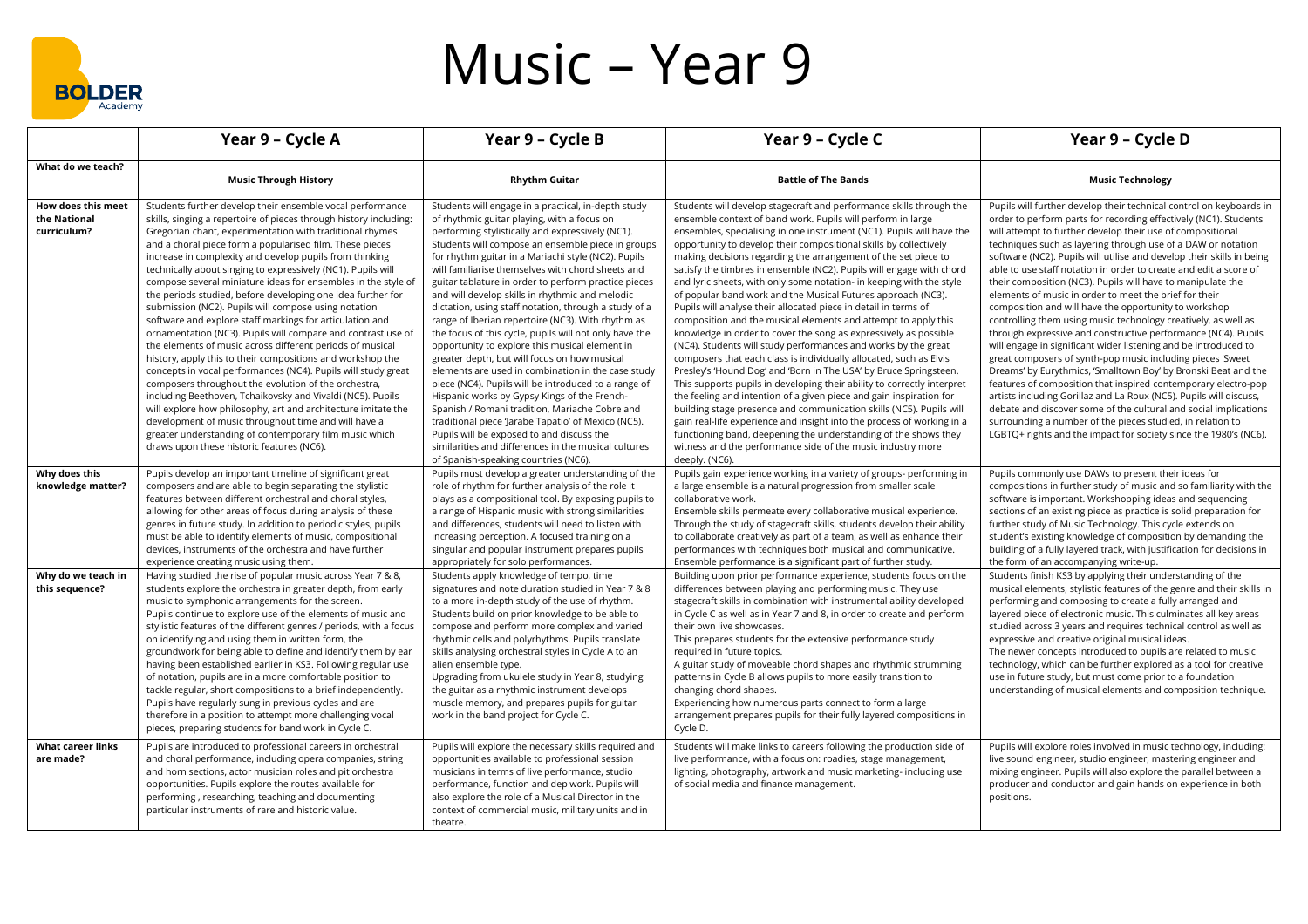

## Music – Year 9

|                                                                            | Year 9 - Cycle A                                                                                                                                                                                                                                                                                                                                                                                                                                                                                                                                                                                                                                                                                                                                                                                                                                                                                                                                                                                                                                                                                                                                                                                                                                                                                          | Year 9 - Cycle B                                                                                                                                                                                                                                                                                                                                                                                                                                                                                                                                                                                                                                                                                                                                                                                                                                                                                                                                                                                                                                                                                                                 | Year 9 - Cycle C                                                                                                                                                                                                                                                                                                                                                                                                                                                                                                                                                                                                                                                                                                                                                                                                                                                                                                                                                                                                                                                                                                                                                                                                                                                                                                                                                                                                                                | Year 9 - Cycle D                                                                                                                                                                                                                                                                                                                                                                                                                                                                                                                                                                                                                                                                                                                                                                                                                                                                                                                                                                                                                                                                                                                                                                                                                                                                          |
|----------------------------------------------------------------------------|-----------------------------------------------------------------------------------------------------------------------------------------------------------------------------------------------------------------------------------------------------------------------------------------------------------------------------------------------------------------------------------------------------------------------------------------------------------------------------------------------------------------------------------------------------------------------------------------------------------------------------------------------------------------------------------------------------------------------------------------------------------------------------------------------------------------------------------------------------------------------------------------------------------------------------------------------------------------------------------------------------------------------------------------------------------------------------------------------------------------------------------------------------------------------------------------------------------------------------------------------------------------------------------------------------------|----------------------------------------------------------------------------------------------------------------------------------------------------------------------------------------------------------------------------------------------------------------------------------------------------------------------------------------------------------------------------------------------------------------------------------------------------------------------------------------------------------------------------------------------------------------------------------------------------------------------------------------------------------------------------------------------------------------------------------------------------------------------------------------------------------------------------------------------------------------------------------------------------------------------------------------------------------------------------------------------------------------------------------------------------------------------------------------------------------------------------------|-------------------------------------------------------------------------------------------------------------------------------------------------------------------------------------------------------------------------------------------------------------------------------------------------------------------------------------------------------------------------------------------------------------------------------------------------------------------------------------------------------------------------------------------------------------------------------------------------------------------------------------------------------------------------------------------------------------------------------------------------------------------------------------------------------------------------------------------------------------------------------------------------------------------------------------------------------------------------------------------------------------------------------------------------------------------------------------------------------------------------------------------------------------------------------------------------------------------------------------------------------------------------------------------------------------------------------------------------------------------------------------------------------------------------------------------------|-------------------------------------------------------------------------------------------------------------------------------------------------------------------------------------------------------------------------------------------------------------------------------------------------------------------------------------------------------------------------------------------------------------------------------------------------------------------------------------------------------------------------------------------------------------------------------------------------------------------------------------------------------------------------------------------------------------------------------------------------------------------------------------------------------------------------------------------------------------------------------------------------------------------------------------------------------------------------------------------------------------------------------------------------------------------------------------------------------------------------------------------------------------------------------------------------------------------------------------------------------------------------------------------|
| What do we teach?                                                          | <b>Music Through History</b>                                                                                                                                                                                                                                                                                                                                                                                                                                                                                                                                                                                                                                                                                                                                                                                                                                                                                                                                                                                                                                                                                                                                                                                                                                                                              | <b>Rhythm Guitar</b>                                                                                                                                                                                                                                                                                                                                                                                                                                                                                                                                                                                                                                                                                                                                                                                                                                                                                                                                                                                                                                                                                                             | <b>Battle of The Bands</b>                                                                                                                                                                                                                                                                                                                                                                                                                                                                                                                                                                                                                                                                                                                                                                                                                                                                                                                                                                                                                                                                                                                                                                                                                                                                                                                                                                                                                      | <b>Music Technology</b>                                                                                                                                                                                                                                                                                                                                                                                                                                                                                                                                                                                                                                                                                                                                                                                                                                                                                                                                                                                                                                                                                                                                                                                                                                                                   |
| How does this meet<br>the National<br>curriculum?                          | Students further develop their ensemble vocal performance<br>skills, singing a repertoire of pieces through history including:<br>Gregorian chant, experimentation with traditional rhymes<br>and a choral piece form a popularised film. These pieces<br>increase in complexity and develop pupils from thinking<br>technically about singing to expressively (NC1). Pupils will<br>compose several miniature ideas for ensembles in the style of<br>the periods studied, before developing one idea further for<br>submission (NC2). Pupils will compose using notation<br>software and explore staff markings for articulation and<br>ornamentation (NC3). Pupils will compare and contrast use of<br>the elements of music across different periods of musical<br>history, apply this to their compositions and workshop the<br>concepts in vocal performances (NC4). Pupils will study great<br>composers throughout the evolution of the orchestra,<br>including Beethoven, Tchaikovsky and Vivaldi (NC5). Pupils<br>will explore how philosophy, art and architecture imitate the<br>development of music throughout time and will have a<br>greater understanding of contemporary film music which<br>draws upon these historic features (NC6).                                                   | Students will engage in a practical, in-depth study<br>of rhythmic guitar playing, with a focus on<br>performing stylistically and expressively (NC1).<br>Students will compose an ensemble piece in groups<br>for rhythm guitar in a Mariachi style (NC2). Pupils<br>will familiarise themselves with chord sheets and<br>guitar tablature in order to perform practice pieces<br>and will develop skills in rhythmic and melodic<br>dictation, using staff notation, through a study of a<br>range of Iberian repertoire (NC3). With rhythm as<br>the focus of this cycle, pupils will not only have the<br>opportunity to explore this musical element in<br>greater depth, but will focus on how musical<br>elements are used in combination in the case study<br>piece (NC4). Pupils will be introduced to a range of<br>Hispanic works by Gypsy Kings of the French-<br>Spanish / Romani tradition, Mariache Cobre and<br>traditional piece 'Jarabe Tapatio' of Mexico (NC5).<br>Pupils will be exposed to and discuss the<br>similarities and differences in the musical cultures<br>of Spanish-speaking countries (NC6). | Students will develop stagecraft and performance skills through the<br>ensemble context of band work. Pupils will perform in large<br>ensembles, specialising in one instrument (NC1). Pupils will have the<br>opportunity to develop their compositional skills by collectively<br>making decisions regarding the arrangement of the set piece to<br>satisfy the timbres in ensemble (NC2). Pupils will engage with chord<br>and lyric sheets, with only some notation- in keeping with the style<br>of popular band work and the Musical Futures approach (NC3).<br>Pupils will analyse their allocated piece in detail in terms of<br>composition and the musical elements and attempt to apply this<br>knowledge in order to cover the song as expressively as possible<br>(NC4). Students will study performances and works by the great<br>composers that each class is individually allocated, such as Elvis<br>Presley's 'Hound Dog' and 'Born in The USA' by Bruce Springsteen.<br>This supports pupils in developing their ability to correctly interpret<br>the feeling and intention of a given piece and gain inspiration for<br>building stage presence and communication skills (NC5). Pupils will<br>gain real-life experience and insight into the process of working in a<br>functioning band, deepening the understanding of the shows they<br>witness and the performance side of the music industry more<br>deeply. (NC6). | Pupils will further develop their technical control on keyboards in<br>order to perform parts for recording effectively (NC1). Students<br>will attempt to further develop their use of compositional<br>techniques such as layering through use of a DAW or notation<br>software (NC2). Pupils will utilise and develop their skills in being<br>able to use staff notation in order to create and edit a score of<br>their composition (NC3). Pupils will have to manipulate the<br>elements of music in order to meet the brief for their<br>composition and will have the opportunity to workshop<br>controlling them using music technology creatively, as well as<br>through expressive and constructive performance (NC4). Pupils<br>will engage in significant wider listening and be introduced to<br>great composers of synth-pop music including pieces 'Sweet<br>Dreams' by Eurythmics, 'Smalltown Boy' by Bronski Beat and the<br>features of composition that inspired contemporary electro-pop<br>artists including Gorillaz and La Roux (NC5). Pupils will discuss,<br>debate and discover some of the cultural and social implications<br>surrounding a number of the pieces studied, in relation to<br>LGBTQ+ rights and the impact for society since the 1980's (NC6). |
| Why does this<br>knowledge matter?<br>Why do we teach in<br>this sequence? | Pupils develop an important timeline of significant great<br>composers and are able to begin separating the stylistic<br>features between different orchestral and choral styles,<br>allowing for other areas of focus during analysis of these<br>genres in future study. In addition to periodic styles, pupils<br>must be able to identify elements of music, compositional<br>devices, instruments of the orchestra and have further<br>experience creating music using them.<br>Having studied the rise of popular music across Year 7 & 8,<br>students explore the orchestra in greater depth, from early<br>music to symphonic arrangements for the screen.<br>Pupils continue to explore use of the elements of music and<br>stylistic features of the different genres / periods, with a focus<br>on identifying and using them in written form, the<br>groundwork for being able to define and identify them by ear<br>having been established earlier in KS3. Following regular use<br>of notation, pupils are in a more comfortable position to<br>tackle regular, short compositions to a brief independently.<br>Pupils have regularly sung in previous cycles and are<br>therefore in a position to attempt more challenging vocal<br>pieces, preparing students for band work in Cycle C. | Pupils must develop a greater understanding of the<br>role of rhythm for further analysis of the role it<br>plays as a compositional tool. By exposing pupils to<br>a range of Hispanic music with strong similarities<br>and differences, students will need to listen with<br>increasing perception. A focused training on a<br>singular and popular instrument prepares pupils<br>appropriately for solo performances.<br>Students apply knowledge of tempo, time<br>signatures and note duration studied in Year 7 & 8<br>to a more in-depth study of the use of rhythm.<br>Students build on prior knowledge to be able to<br>compose and perform more complex and varied<br>rhythmic cells and polyrhythms. Pupils translate<br>skills analysing orchestral styles in Cycle A to an<br>alien ensemble type.<br>Upgrading from ukulele study in Year 8, studying<br>the guitar as a rhythmic instrument develops<br>muscle memory, and prepares pupils for guitar<br>work in the band project for Cycle C.                                                                                                                  | Pupils gain experience working in a variety of groups- performing in<br>a large ensemble is a natural progression from smaller scale<br>collaborative work.<br>Ensemble skills permeate every collaborative musical experience.<br>Through the study of stagecraft skills, students develop their ability<br>to collaborate creatively as part of a team, as well as enhance their<br>performances with techniques both musical and communicative.<br>Ensemble performance is a significant part of further study.<br>Building upon prior performance experience, students focus on the<br>differences between playing and performing music. They use<br>stagecraft skills in combination with instrumental ability developed<br>in Cycle C as well as in Year 7 and 8, in order to create and perform<br>their own live showcases.<br>This prepares students for the extensive performance study<br>required in future topics.<br>A guitar study of moveable chord shapes and rhythmic strumming<br>patterns in Cycle B allows pupils to more easily transition to<br>changing chord shapes.<br>Experiencing how numerous parts connect to form a large<br>arrangement prepares pupils for their fully layered compositions in<br>Cycle D.                                                                                                                                                                                                     | Pupils commonly use DAWs to present their ideas for<br>compositions in further study of music and so familiarity with the<br>software is important. Workshopping ideas and sequencing<br>sections of an existing piece as practice is solid preparation for<br>further study of Music Technology. This cycle extends on<br>student's existing knowledge of composition by demanding the<br>building of a fully layered track, with justification for decisions in<br>the form of an accompanying write-up.<br>Students finish KS3 by applying their understanding of the<br>musical elements, stylistic features of the genre and their skills in<br>performing and composing to create a fully arranged and<br>layered piece of electronic music. This culminates all key areas<br>studied across 3 years and requires technical control as well as<br>expressive and creative original musical ideas.<br>The newer concepts introduced to pupils are related to music<br>technology, which can be further explored as a tool for creative<br>use in future study, but must come prior to a foundation<br>understanding of musical elements and composition technique.                                                                                                                   |
| <b>What career links</b><br>are made?                                      | Pupils are introduced to professional careers in orchestral<br>and choral performance, including opera companies, string<br>and horn sections, actor musician roles and pit orchestra<br>opportunities. Pupils explore the routes available for<br>performing, researching, teaching and documenting<br>particular instruments of rare and historic value.                                                                                                                                                                                                                                                                                                                                                                                                                                                                                                                                                                                                                                                                                                                                                                                                                                                                                                                                                | Pupils will explore the necessary skills required and<br>opportunities available to professional session<br>musicians in terms of live performance, studio<br>performance, function and dep work. Pupils will<br>also explore the role of a Musical Director in the<br>context of commercial music, military units and in<br>theatre.                                                                                                                                                                                                                                                                                                                                                                                                                                                                                                                                                                                                                                                                                                                                                                                            | Students will make links to careers following the production side of<br>live performance, with a focus on: roadies, stage management,<br>lighting, photography, artwork and music marketing-including use<br>of social media and finance management.                                                                                                                                                                                                                                                                                                                                                                                                                                                                                                                                                                                                                                                                                                                                                                                                                                                                                                                                                                                                                                                                                                                                                                                            | Pupils will explore roles involved in music technology, including:<br>live sound engineer, studio engineer, mastering engineer and<br>mixing engineer. Pupils will also explore the parallel between a<br>producer and conductor and gain hands on experience in both<br>positions.                                                                                                                                                                                                                                                                                                                                                                                                                                                                                                                                                                                                                                                                                                                                                                                                                                                                                                                                                                                                       |